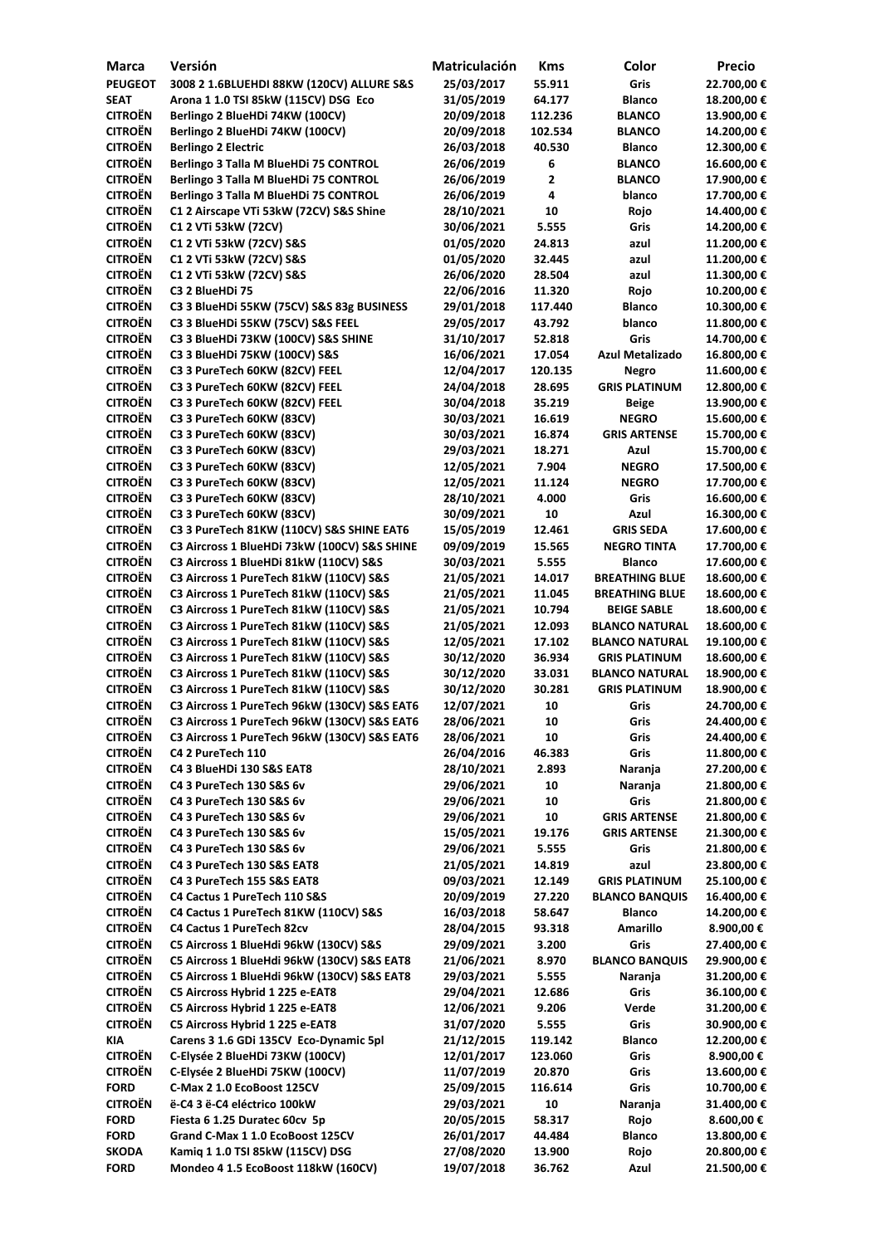| <b>Marca</b>   | Versión                                      | Matriculación | <b>Kms</b> | Color                  | <b>Precio</b> |
|----------------|----------------------------------------------|---------------|------------|------------------------|---------------|
| <b>PEUGEOT</b> | 3008 2 1.6BLUEHDI 88KW (120CV) ALLURE S&S    | 25/03/2017    | 55.911     | <b>Gris</b>            | 22.700,00 €   |
| <b>SEAT</b>    | Arona 1 1.0 TSI 85kW (115CV) DSG Eco         | 31/05/2019    | 64.177     | <b>Blanco</b>          | 18.200,00€    |
| <b>CITROËN</b> | Berlingo 2 BlueHDi 74KW (100CV)              | 20/09/2018    | 112.236    | <b>BLANCO</b>          | 13.900,00 €   |
| <b>CITROËN</b> | Berlingo 2 BlueHDi 74KW (100CV)              | 20/09/2018    | 102.534    | <b>BLANCO</b>          | 14.200,00 €   |
| <b>CITROËN</b> | <b>Berlingo 2 Electric</b>                   | 26/03/2018    | 40.530     | <b>Blanco</b>          | 12.300,00 €   |
| <b>CITROËN</b> | Berlingo 3 Talla M BlueHDi 75 CONTROL        | 26/06/2019    | 6          | <b>BLANCO</b>          | 16.600,00€    |
| <b>CITROËN</b> | Berlingo 3 Talla M BlueHDi 75 CONTROL        | 26/06/2019    | 2          | <b>BLANCO</b>          | 17.900,00€    |
| <b>CITROËN</b> | Berlingo 3 Talla M BlueHDi 75 CONTROL        | 26/06/2019    | 4          | blanco                 | 17.700,00€    |
| <b>CITROËN</b> | C1 2 Airscape VTi 53kW (72CV) S&S Shine      | 28/10/2021    | 10         | Rojo                   | 14.400,00€    |
| <b>CITROËN</b> | C1 2 VTi 53kW (72CV)                         | 30/06/2021    | 5.555      | Gris                   | 14.200,00 €   |
| <b>CITROËN</b> | C1 2 VTi 53kW (72CV) S&S                     | 01/05/2020    | 24.813     | azul                   | 11.200,00€    |
| <b>CITROËN</b> | C1 2 VTi 53kW (72CV) S&S                     | 01/05/2020    | 32.445     | azul                   | 11.200,00€    |
| <b>CITROËN</b> | C1 2 VTi 53kW (72CV) S&S                     | 26/06/2020    | 28.504     | azul                   | 11.300,00€    |
| <b>CITROËN</b> | C3 2 BlueHDi 75                              | 22/06/2016    | 11.320     | Rojo                   | 10.200,00€    |
| <b>CITROËN</b> | C3 3 BlueHDi 55KW (75CV) S&S 83g BUSINESS    | 29/01/2018    | 117.440    | <b>Blanco</b>          | 10.300,00€    |
| <b>CITROËN</b> | C3 3 BlueHDi 55KW (75CV) S&S FEEL            | 29/05/2017    | 43.792     | blanco                 | 11.800,00 €   |
| <b>CITROËN</b> | C3 3 BlueHDi 73KW (100CV) S&S SHINE          | 31/10/2017    | 52.818     | <b>Gris</b>            | 14.700,00€    |
| <b>CITROËN</b> | C3 3 BlueHDi 75KW (100CV) S&S                | 16/06/2021    | 17.054     | <b>Azul Metalizado</b> | 16.800,00€    |
| <b>CITROËN</b> | C3 3 PureTech 60KW (82CV) FEEL               | 12/04/2017    | 120.135    | <b>Negro</b>           | 11.600,00€    |
| <b>CITROËN</b> | C3 3 PureTech 60KW (82CV) FEEL               | 24/04/2018    | 28.695     | <b>GRIS PLATINUM</b>   | 12.800,00 €   |
| <b>CITROËN</b> | C3 3 PureTech 60KW (82CV) FEEL               | 30/04/2018    | 35.219     | <b>Beige</b>           | 13.900,00 €   |
| <b>CITROËN</b> | C3 3 PureTech 60KW (83CV)                    | 30/03/2021    | 16.619     | <b>NEGRO</b>           | 15.600,00€    |
| <b>CITROËN</b> |                                              |               |            |                        |               |
|                | C3 3 PureTech 60KW (83CV)                    | 30/03/2021    | 16.874     | <b>GRIS ARTENSE</b>    | 15.700,00€    |
| <b>CITROËN</b> | C3 3 PureTech 60KW (83CV)                    | 29/03/2021    | 18.271     | Azul                   | 15.700,00€    |
| <b>CITROËN</b> | C3 3 PureTech 60KW (83CV)                    | 12/05/2021    | 7.904      | <b>NEGRO</b>           | 17.500,00 €   |
| <b>CITROËN</b> | C3 3 PureTech 60KW (83CV)                    | 12/05/2021    | 11.124     | <b>NEGRO</b>           | 17.700,00€    |
| <b>CITROËN</b> | C3 3 PureTech 60KW (83CV)                    | 28/10/2021    | 4.000      | Gris                   | 16.600,00€    |
| <b>CITROËN</b> | C3 3 PureTech 60KW (83CV)                    | 30/09/2021    | 10         | Azul                   | 16.300,00€    |
| <b>CITROËN</b> | C3 3 PureTech 81KW (110CV) S&S SHINE EAT6    | 15/05/2019    | 12.461     | <b>GRIS SEDA</b>       | 17.600,00€    |
| <b>CITROËN</b> | C3 Aircross 1 BlueHDi 73kW (100CV) S&S SHINE | 09/09/2019    | 15.565     | <b>NEGRO TINTA</b>     | 17.700,00€    |
| <b>CITROËN</b> | C3 Aircross 1 BlueHDi 81kW (110CV) S&S       | 30/03/2021    | 5.555      | <b>Blanco</b>          | 17.600,00€    |
| <b>CITROËN</b> | C3 Aircross 1 PureTech 81kW (110CV) S&S      | 21/05/2021    | 14.017     | <b>BREATHING BLUE</b>  | 18.600,00€    |
| <b>CITROËN</b> | C3 Aircross 1 PureTech 81kW (110CV) S&S      | 21/05/2021    | 11.045     | <b>BREATHING BLUE</b>  | 18.600,00 €   |
| <b>CITROËN</b> | C3 Aircross 1 PureTech 81kW (110CV) S&S      | 21/05/2021    | 10.794     | <b>BEIGE SABLE</b>     | 18.600,00€    |
| <b>CITROËN</b> | C3 Aircross 1 PureTech 81kW (110CV) S&S      | 21/05/2021    | 12.093     | <b>BLANCO NATURAL</b>  | 18.600,00€    |
| <b>CITROËN</b> | C3 Aircross 1 PureTech 81kW (110CV) S&S      | 12/05/2021    | 17.102     | <b>BLANCO NATURAL</b>  | 19.100,00€    |
| <b>CITROËN</b> | C3 Aircross 1 PureTech 81kW (110CV) S&S      | 30/12/2020    | 36.934     | <b>GRIS PLATINUM</b>   | 18.600,00€    |
| <b>CITROËN</b> | C3 Aircross 1 PureTech 81kW (110CV) S&S      | 30/12/2020    | 33.031     | <b>BLANCO NATURAL</b>  | 18.900,00€    |
| <b>CITROËN</b> | C3 Aircross 1 PureTech 81kW (110CV) S&S      | 30/12/2020    | 30.281     | <b>GRIS PLATINUM</b>   | 18.900,00€    |
| <b>CITROËN</b> | C3 Aircross 1 PureTech 96kW (130CV) S&S EAT6 | 12/07/2021    | 10         | Gris                   | 24.700,00 €   |
| <b>CITROËN</b> | C3 Aircross 1 PureTech 96kW (130CV) S&S EAT6 | 28/06/2021    | 10         | Gris                   | 24.400,00 €   |
| <b>CITROËN</b> | C3 Aircross 1 PureTech 96kW (130CV) S&S EAT6 | 28/06/2021    | 10         | Gris                   | 24.400,00 €   |
| <b>CITROËN</b> | C4 2 PureTech 110                            | 26/04/2016    | 46.383     | Gris                   | 11.800,00€    |
| <b>CITROËN</b> | C4 3 BlueHDi 130 S&S EAT8                    | 28/10/2021    | 2.893      | Naranja                | 27.200,00 €   |
| <b>CITROËN</b> | C4 3 PureTech 130 S&S 6v                     | 29/06/2021    | 10         | Naranja                | 21.800,00 €   |
| <b>CITROËN</b> | C4 3 PureTech 130 S&S 6v                     | 29/06/2021    | 10         | Gris                   | 21.800,00 €   |
| <b>CITROËN</b> | C4 3 PureTech 130 S&S 6v                     | 29/06/2021    | 10         | <b>GRIS ARTENSE</b>    | 21.800,00 €   |
| <b>CITROËN</b> | C4 3 PureTech 130 S&S 6v                     | 15/05/2021    | 19.176     | <b>GRIS ARTENSE</b>    | 21.300,00€    |
| <b>CITROËN</b> | C4 3 PureTech 130 S&S 6v                     | 29/06/2021    | 5.555      | Gris                   | 21.800,00 €   |
| <b>CITROËN</b> | C4 3 PureTech 130 S&S EAT8                   | 21/05/2021    | 14.819     | azul                   | 23.800,00 €   |
| <b>CITROËN</b> | C4 3 PureTech 155 S&S EAT8                   | 09/03/2021    | 12.149     | <b>GRIS PLATINUM</b>   | 25.100,00€    |
| <b>CITROËN</b> | C4 Cactus 1 PureTech 110 S&S                 | 20/09/2019    | 27.220     | <b>BLANCO BANQUIS</b>  | 16.400,00€    |
| <b>CITROËN</b> | C4 Cactus 1 PureTech 81KW (110CV) S&S        | 16/03/2018    | 58.647     | <b>Blanco</b>          | 14.200,00€    |
| <b>CITROËN</b> | <b>C4 Cactus 1 PureTech 82cv</b>             | 28/04/2015    | 93.318     | <b>Amarillo</b>        | 8.900,00 €    |
| <b>CITROËN</b> | C5 Aircross 1 BlueHdi 96kW (130CV) S&S       | 29/09/2021    | 3.200      | Gris                   | 27.400,00 €   |
| <b>CITROËN</b> | C5 Aircross 1 BlueHdi 96kW (130CV) S&S EAT8  | 21/06/2021    | 8.970      | <b>BLANCO BANQUIS</b>  | 29.900,00 €   |
| <b>CITROËN</b> | C5 Aircross 1 BlueHdi 96kW (130CV) S&S EAT8  | 29/03/2021    | 5.555      | Naranja                | 31.200,00 €   |
| <b>CITROËN</b> | C5 Aircross Hybrid 1 225 e-EAT8              | 29/04/2021    | 12.686     | Gris                   | 36.100,00€    |
| <b>CITROËN</b> | C5 Aircross Hybrid 1 225 e-EAT8              | 12/06/2021    | 9.206      | <b>Verde</b>           | 31.200,00 €   |
| <b>CITROËN</b> | C5 Aircross Hybrid 1 225 e-EAT8              | 31/07/2020    | 5.555      | Gris                   | 30.900,00 €   |
| <b>KIA</b>     | Carens 3 1.6 GDi 135CV Eco-Dynamic 5pl       | 21/12/2015    | 119.142    | <b>Blanco</b>          | 12.200,00 €   |
| <b>CITROËN</b> | C-Elysée 2 BlueHDi 73KW (100CV)              | 12/01/2017    | 123.060    | Gris                   | 8.900,00 €    |
| <b>CITROËN</b> | C-Elysée 2 BlueHDi 75KW (100CV)              | 11/07/2019    | 20.870     | Gris                   | 13.600,00 €   |
| <b>FORD</b>    | C-Max 2 1.0 EcoBoost 125CV                   | 25/09/2015    | 116.614    | Gris                   | 10.700,00€    |
| <b>CITROËN</b> | ë-C4 3 ë-C4 eléctrico 100kW                  | 29/03/2021    | 10         |                        | 31.400,00 €   |
|                | Fiesta 6 1.25 Duratec 60cv 5p                | 20/05/2015    |            | Naranja                |               |
| <b>FORD</b>    | Grand C-Max 1 1.0 EcoBoost 125CV             |               | 58.317     | Rojo                   | 8.600,00 €    |
| <b>FORD</b>    |                                              | 26/01/2017    | 44.484     | <b>Blanco</b>          | 13.800,00 €   |
| <b>SKODA</b>   | Kamiq 1 1.0 TSI 85kW (115CV) DSG             | 27/08/2020    | 13.900     | Rojo                   | 20.800,00 €   |
| <b>FORD</b>    | Mondeo 4 1.5 EcoBoost 118kW (160CV)          | 19/07/2018    | 36.762     | Azul                   | 21.500,00 €   |